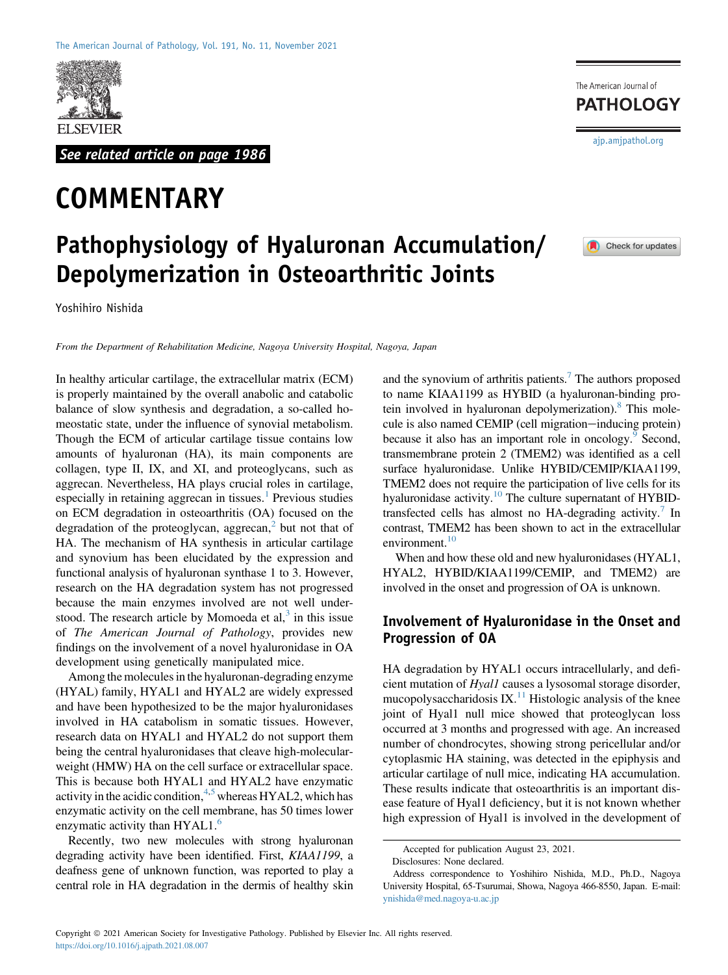

See related article on page 1986

# **COMMENTARY**

# Pathophysiology of Hyaluronan Accumulation/ Depolymerization in Osteoarthritic Joints

Yoshihiro Nishida

From the Department of Rehabilitation Medicine, Nagoya University Hospital, Nagoya, Japan

In healthy articular cartilage, the extracellular matrix (ECM) is properly maintained by the overall anabolic and catabolic balance of slow synthesis and degradation, a so-called homeostatic state, under the influence of synovial metabolism. Though the ECM of articular cartilage tissue contains low amounts of hyaluronan (HA), its main components are collagen, type II, IX, and XI, and proteoglycans, such as aggrecan. Nevertheless, HA plays crucial roles in cartilage, especially in retaining aggrecan in tissues.<sup>[1](#page-2-0)</sup> Previous studies on ECM degradation in osteoarthritis (OA) focused on the degradation of the proteoglycan, aggrecan, $<sup>2</sup>$  $<sup>2</sup>$  $<sup>2</sup>$  but not that of</sup> HA. The mechanism of HA synthesis in articular cartilage and synovium has been elucidated by the expression and functional analysis of hyaluronan synthase 1 to 3. However, research on the HA degradation system has not progressed because the main enzymes involved are not well understood. The research article by Momoeda et al, $3$  in this issue of The American Journal of Pathology, provides new findings on the involvement of a novel hyaluronidase in OA development using genetically manipulated mice.

Among the molecules in the hyaluronan-degrading enzyme (HYAL) family, HYAL1 and HYAL2 are widely expressed and have been hypothesized to be the major hyaluronidases involved in HA catabolism in somatic tissues. However, research data on HYAL1 and HYAL2 do not support them being the central hyaluronidases that cleave high-molecularweight (HMW) HA on the cell surface or extracellular space. This is because both HYAL1 and HYAL2 have enzymatic activity in the acidic condition,  $4.5$  $4.5$  whereas HYAL2, which has enzymatic activity on the cell membrane, has 50 times lower enzymatic activity than HYAL1.<sup>[6](#page-2-5)</sup>

Recently, two new molecules with strong hyaluronan degrading activity have been identified. First, KIAA1199, a deafness gene of unknown function, was reported to play a central role in HA degradation in the dermis of healthy skin

and the synovium of arthritis patients.<sup>[7](#page-2-6)</sup> The authors proposed to name KIAA1199 as HYBID (a hyaluronan-binding protein involved in hyaluronan depolymerization).<sup>8</sup> This molecule is also named CEMIP (cell migration-inducing protein) because it also has an important role in oncology.<sup>[9](#page-2-8)</sup> Second, transmembrane protein 2 (TMEM2) was identified as a cell surface hyaluronidase. Unlike HYBID/CEMIP/KIAA1199, TMEM2 does not require the participation of live cells for its hyaluronidase activity.<sup>10</sup> The culture supernatant of HYBID-transfected cells has almost no HA-degrading activity.<sup>[7](#page-2-6)</sup> In contrast, TMEM2 has been shown to act in the extracellular environment. $10$ 

When and how these old and new hyaluronidases (HYAL1, HYAL2, HYBID/KIAA1199/CEMIP, and TMEM2) are involved in the onset and progression of OA is unknown.

### Involvement of Hyaluronidase in the Onset and Progression of OA

HA degradation by HYAL1 occurs intracellularly, and deficient mutation of Hyal1 causes a lysosomal storage disorder, mucopolysaccharidosis IX.<sup>[11](#page-2-10)</sup> Histologic analysis of the knee joint of Hyal1 null mice showed that proteoglycan loss occurred at 3 months and progressed with age. An increased number of chondrocytes, showing strong pericellular and/or cytoplasmic HA staining, was detected in the epiphysis and articular cartilage of null mice, indicating HA accumulation. These results indicate that osteoarthritis is an important disease feature of Hyal1 deficiency, but it is not known whether high expression of Hyal1 is involved in the development of

**PATHOLOGY** [ajp.amjpathol.org](http://ajp.amjpathol.org)

The American Journal of



Accepted for publication August 23, 2021.

Disclosures: None declared.

Address correspondence to Yoshihiro Nishida, M.D., Ph.D., Nagoya University Hospital, 65-Tsurumai, Showa, Nagoya 466-8550, Japan. E-mail: [ynishida@med.nagoya-u.ac.jp](mailto:ynishida@med.nagoya-u.ac.jp)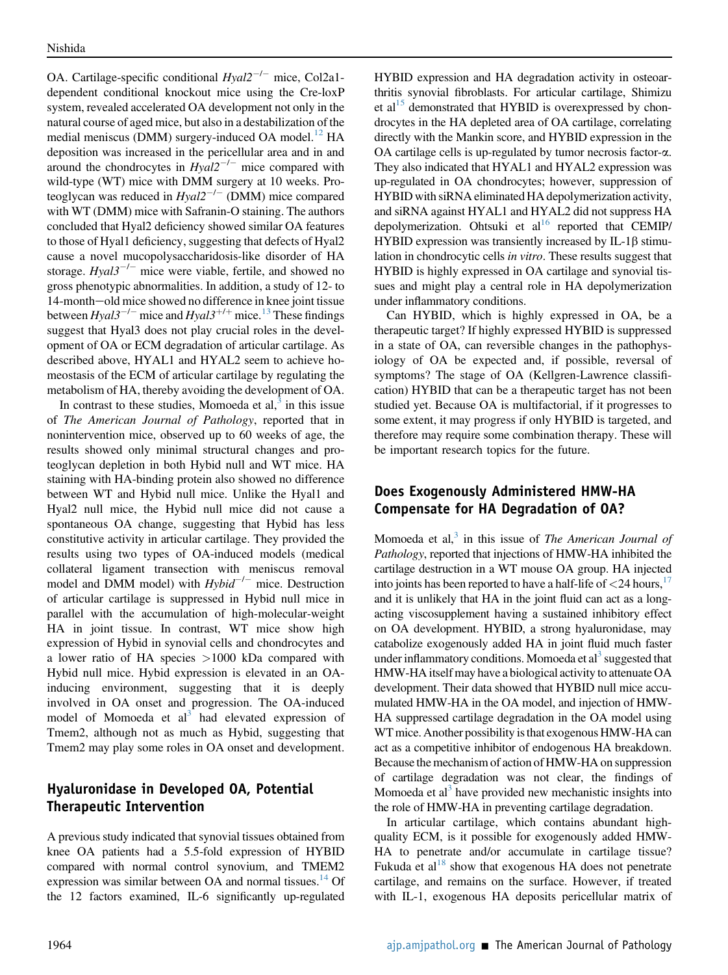OA. Cartilage-specific conditional  $Hval2^{-/-}$  mice, Col2a1dependent conditional knockout mice using the Cre-loxP system, revealed accelerated OA development not only in the natural course of aged mice, but also in a destabilization of the medial meniscus (DMM) surgery-induced OA model.<sup>[12](#page-2-11)</sup> HA deposition was increased in the pericellular area and in and around the chondrocytes in  $Hyal2^{-/-}$  mice compared with wild-type (WT) mice with DMM surgery at 10 weeks. Proteoglycan was reduced in  $Hyal2^{-/-}$  (DMM) mice compared with WT (DMM) mice with Safranin-O staining. The authors concluded that Hyal2 deficiency showed similar OA features to those of Hyal1 deficiency, suggesting that defects of Hyal2 cause a novel mucopolysaccharidosis-like disorder of HA storage.  $Hyal3^{-/-}$  mice were viable, fertile, and showed no gross phenotypic abnormalities. In addition, a study of 12- to 14-month-old mice showed no difference in knee joint tissue between  $Hyal3^{-/-}$  mice and  $Hyal3^{+/+}$  mice.<sup>[13](#page-2-12)</sup> These findings suggest that Hyal3 does not play crucial roles in the development of OA or ECM degradation of articular cartilage. As described above, HYAL1 and HYAL2 seem to achieve homeostasis of the ECM of articular cartilage by regulating the metabolism of HA, thereby avoiding the development of OA.

In contrast to these studies, Momoeda et al, $3$  in this issue of The American Journal of Pathology, reported that in nonintervention mice, observed up to 60 weeks of age, the results showed only minimal structural changes and proteoglycan depletion in both Hybid null and WT mice. HA staining with HA-binding protein also showed no difference between WT and Hybid null mice. Unlike the Hyal1 and Hyal2 null mice, the Hybid null mice did not cause a spontaneous OA change, suggesting that Hybid has less constitutive activity in articular cartilage. They provided the results using two types of OA-induced models (medical collateral ligament transection with meniscus removal model and DMM model) with  $Hybid^{-/-}$  mice. Destruction of articular cartilage is suppressed in Hybid null mice in parallel with the accumulation of high-molecular-weight HA in joint tissue. In contrast, WT mice show high expression of Hybid in synovial cells and chondrocytes and a lower ratio of HA species >1000 kDa compared with Hybid null mice. Hybid expression is elevated in an OAinducing environment, suggesting that it is deeply involved in OA onset and progression. The OA-induced model of Momoeda et  $al<sup>3</sup>$  had elevated expression of Tmem2, although not as much as Hybid, suggesting that Tmem2 may play some roles in OA onset and development.

# Hyaluronidase in Developed OA, Potential Therapeutic Intervention

A previous study indicated that synovial tissues obtained from knee OA patients had a 5.5-fold expression of HYBID compared with normal control synovium, and TMEM2 expression was similar between OA and normal tissues. $^{14}$  $^{14}$  $^{14}$  Of the 12 factors examined, IL-6 significantly up-regulated HYBID expression and HA degradation activity in osteoarthritis synovial fibroblasts. For articular cartilage, Shimizu et al<sup>15</sup> demonstrated that HYBID is overexpressed by chondrocytes in the HA depleted area of OA cartilage, correlating directly with the Mankin score, and HYBID expression in the OA cartilage cells is up-regulated by tumor necrosis factor-a. They also indicated that HYAL1 and HYAL2 expression was up-regulated in OA chondrocytes; however, suppression of HYBID with siRNA eliminated HA depolymerization activity, and siRNA against HYAL1 and HYAL2 did not suppress HA depolymerization. Ohtsuki et  $al<sup>16</sup>$  $al<sup>16</sup>$  $al<sup>16</sup>$  reported that CEMIP/ HYBID expression was transiently increased by  $IL-1\beta$  stimulation in chondrocytic cells in vitro. These results suggest that HYBID is highly expressed in OA cartilage and synovial tissues and might play a central role in HA depolymerization under inflammatory conditions.

Can HYBID, which is highly expressed in OA, be a therapeutic target? If highly expressed HYBID is suppressed in a state of OA, can reversible changes in the pathophysiology of OA be expected and, if possible, reversal of symptoms? The stage of OA (Kellgren-Lawrence classification) HYBID that can be a therapeutic target has not been studied yet. Because OA is multifactorial, if it progresses to some extent, it may progress if only HYBID is targeted, and therefore may require some combination therapy. These will be important research topics for the future.

## Does Exogenously Administered HMW-HA Compensate for HA Degradation of OA?

Momoeda et al, $3$  in this issue of The American Journal of Pathology, reported that injections of HMW-HA inhibited the cartilage destruction in a WT mouse OA group. HA injected into joints has been reported to have a half-life of  $\langle 24 \text{ hours}, \cdot \rangle$ and it is unlikely that HA in the joint fluid can act as a longacting viscosupplement having a sustained inhibitory effect on OA development. HYBID, a strong hyaluronidase, may catabolize exogenously added HA in joint fluid much faster under inflammatory conditions. Momoeda et  $al<sup>3</sup>$  suggested that HMW-HA itself may have a biological activity to attenuate OA development. Their data showed that HYBID null mice accumulated HMW-HA in the OA model, and injection of HMW-HA suppressed cartilage degradation in the OA model using WT mice. Another possibility is that exogenous HMW-HA can act as a competitive inhibitor of endogenous HA breakdown. Because the mechanism of action of HMW-HA on suppression of cartilage degradation was not clear, the findings of Momoeda et al<sup>[3](#page-2-2)</sup> have provided new mechanistic insights into the role of HMW-HA in preventing cartilage degradation.

In articular cartilage, which contains abundant highquality ECM, is it possible for exogenously added HMW-HA to penetrate and/or accumulate in cartilage tissue? Fukuda et  $al^{18}$  show that exogenous HA does not penetrate cartilage, and remains on the surface. However, if treated with IL-1, exogenous HA deposits pericellular matrix of